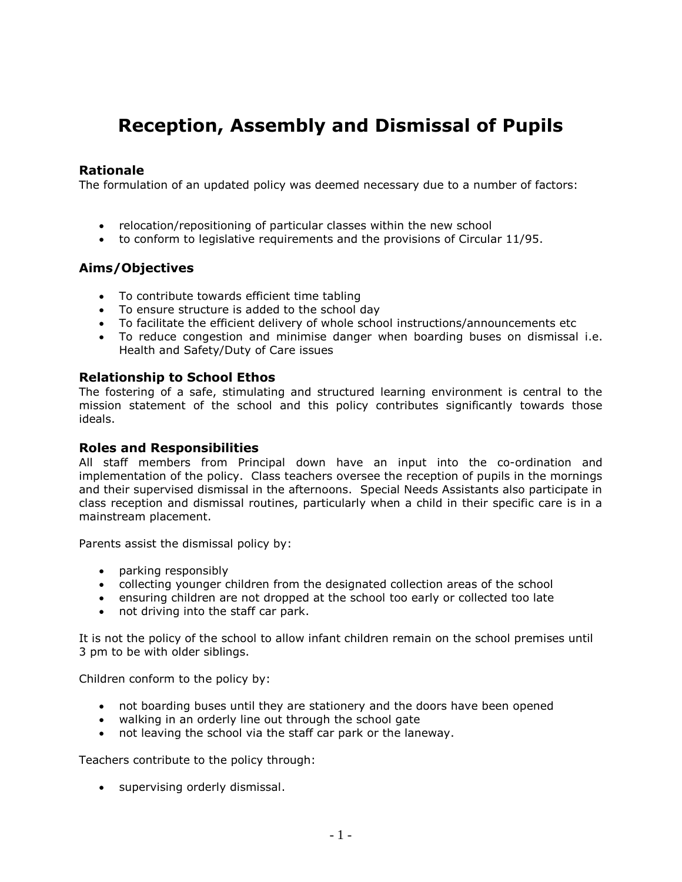# **Reception, Assembly and Dismissal of Pupils**

## **Rationale**

The formulation of an updated policy was deemed necessary due to a number of factors:

- relocation/repositioning of particular classes within the new school
- to conform to legislative requirements and the provisions of Circular 11/95.

# **Aims/Objectives**

- To contribute towards efficient time tabling
- To ensure structure is added to the school day
- To facilitate the efficient delivery of whole school instructions/announcements etc
- To reduce congestion and minimise danger when boarding buses on dismissal i.e. Health and Safety/Duty of Care issues

## **Relationship to School Ethos**

The fostering of a safe, stimulating and structured learning environment is central to the mission statement of the school and this policy contributes significantly towards those ideals.

## **Roles and Responsibilities**

All staff members from Principal down have an input into the co-ordination and implementation of the policy. Class teachers oversee the reception of pupils in the mornings and their supervised dismissal in the afternoons. Special Needs Assistants also participate in class reception and dismissal routines, particularly when a child in their specific care is in a mainstream placement.

Parents assist the dismissal policy by:

- parking responsibly
- collecting younger children from the designated collection areas of the school
- ensuring children are not dropped at the school too early or collected too late
- not driving into the staff car park.

It is not the policy of the school to allow infant children remain on the school premises until 3 pm to be with older siblings.

Children conform to the policy by:

- not boarding buses until they are stationery and the doors have been opened
- walking in an orderly line out through the school gate
- not leaving the school via the staff car park or the laneway.

Teachers contribute to the policy through:

• supervising orderly dismissal.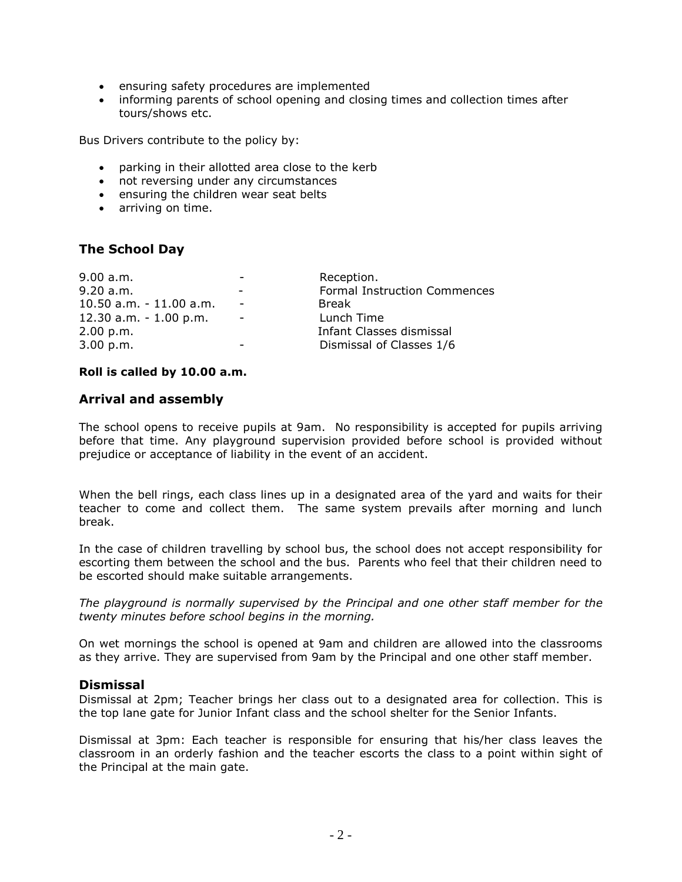- ensuring safety procedures are implemented
- informing parents of school opening and closing times and collection times after tours/shows etc.

Bus Drivers contribute to the policy by:

- parking in their allotted area close to the kerb
- not reversing under any circumstances
- ensuring the children wear seat belts
- arriving on time.

# **The School Day**

| 9.00 a.m.                 |                          | Reception.                   |
|---------------------------|--------------------------|------------------------------|
| 9.20 a.m.                 | $\overline{\phantom{a}}$ | Formal Instruction Commences |
| 10.50 a.m. - 11.00 a.m.   |                          | Break                        |
| $12.30$ a.m. $-1.00$ p.m. |                          | Lunch Time                   |
| 2.00 p.m.                 |                          | Infant Classes dismissal     |
| 3.00 p.m.                 |                          | Dismissal of Classes 1/6     |

#### **Roll is called by 10.00 a.m.**

## **Arrival and assembly**

The school opens to receive pupils at 9am. No responsibility is accepted for pupils arriving before that time. Any playground supervision provided before school is provided without prejudice or acceptance of liability in the event of an accident.

When the bell rings, each class lines up in a designated area of the yard and waits for their teacher to come and collect them. The same system prevails after morning and lunch break.

In the case of children travelling by school bus, the school does not accept responsibility for escorting them between the school and the bus. Parents who feel that their children need to be escorted should make suitable arrangements.

*The playground is normally supervised by the Principal and one other staff member for the twenty minutes before school begins in the morning.*

On wet mornings the school is opened at 9am and children are allowed into the classrooms as they arrive. They are supervised from 9am by the Principal and one other staff member.

## **Dismissal**

Dismissal at 2pm; Teacher brings her class out to a designated area for collection. This is the top lane gate for Junior Infant class and the school shelter for the Senior Infants.

Dismissal at 3pm: Each teacher is responsible for ensuring that his/her class leaves the classroom in an orderly fashion and the teacher escorts the class to a point within sight of the Principal at the main gate.